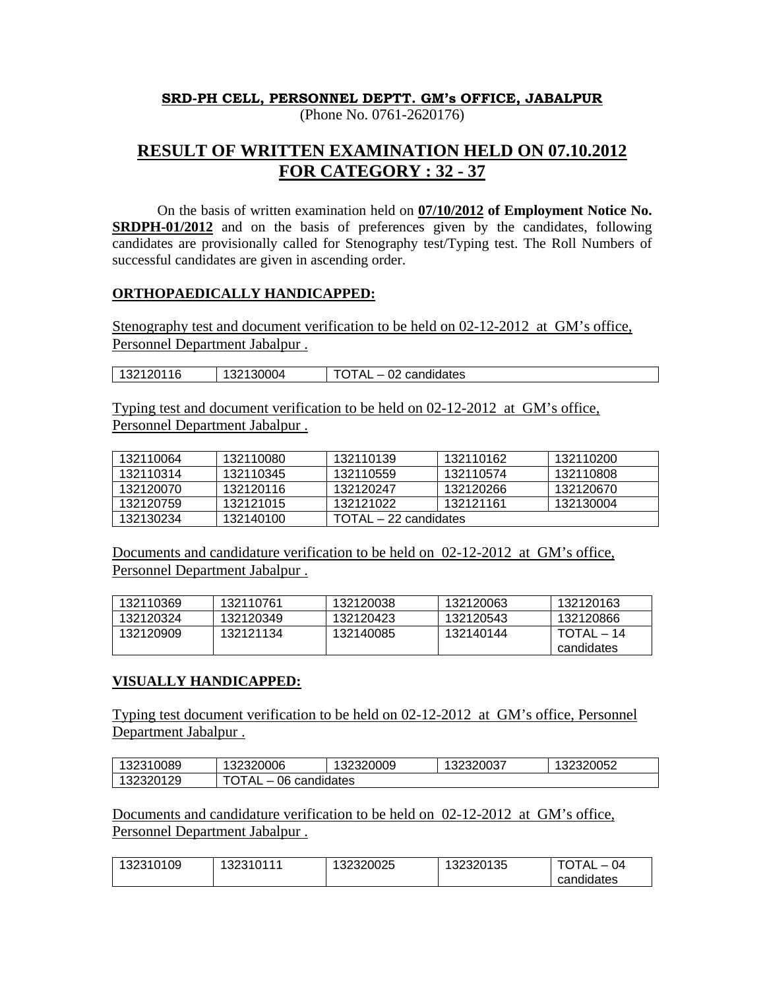# **SRD-PH CELL, PERSONNEL DEPTT. GM's OFFICE, JABALPUR**

(Phone No. 0761-2620176)

# **RESULT OF WRITTEN EXAMINATION HELD ON 07.10.2012 FOR CATEGORY : 32 - 37**

 On the basis of written examination held on **07/10/2012 of Employment Notice No. SRDPH-01/2012** and on the basis of preferences given by the candidates, following candidates are provisionally called for Stenography test/Typing test. The Roll Numbers of successful candidates are given in ascending order.

### **ORTHOPAEDICALLY HANDICAPPED:**

Stenography test and document verification to be held on 02-12-2012 at GM's office, Personnel Department Jabalpur .

| 132120116 | ີ່ ??130004 | nn.<br>candidates<br>◡▵<br>∼⊾ |
|-----------|-------------|-------------------------------|

Typing test and document verification to be held on 02-12-2012 at GM's office, Personnel Department Jabalpur .

| 132110064 | 132110080 | 132110139             | 132110162 | 132110200 |
|-----------|-----------|-----------------------|-----------|-----------|
| 132110314 | 132110345 | 132110559             | 132110574 | 132110808 |
| 132120070 | 132120116 | 132120247             | 132120266 | 132120670 |
| 132120759 | 132121015 | 132121022             | 132121161 | 132130004 |
| 132130234 | 132140100 | TOTAL – 22 candidates |           |           |

Documents and candidature verification to be held on 02-12-2012 at GM's office, Personnel Department Jabalpur .

| 132110369 | 132110761 | 132120038 | 132120063 | 132120163  |
|-----------|-----------|-----------|-----------|------------|
| 132120324 | 132120349 | 132120423 | 132120543 | 132120866  |
| 132120909 | 132121134 | 132140085 | 132140144 | TOTAL – 14 |
|           |           |           |           | candidates |

## **VISUALLY HANDICAPPED:**

Typing test document verification to be held on 02-12-2012 at GM's office, Personnel Department Jabalpur .

| 132310089 | 132320006            | 132320009 | 132320037 | 132320052 |
|-----------|----------------------|-----------|-----------|-----------|
| 132320129 | 06 candidates<br>™A∟ |           |           |           |

Documents and candidature verification to be held on 02-12-2012 at GM's office, Personnel Department Jabalpur .

| 132310109 | 132310111 | 132320025 | 132320135 | <b>TOTAL</b><br>$-04$ |
|-----------|-----------|-----------|-----------|-----------------------|
|           |           |           |           | candidates            |